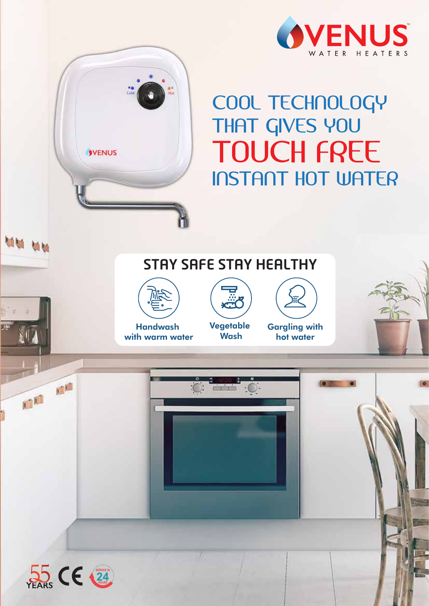

## COOL TECHNOLOGY THAT GIVES YOU TOUCH FREE INSTANT HOT WATER





**SVENUS** 

**MM MM** 

Handwash with warm water Vegetable **Wash** 

**Gargling with** hot water